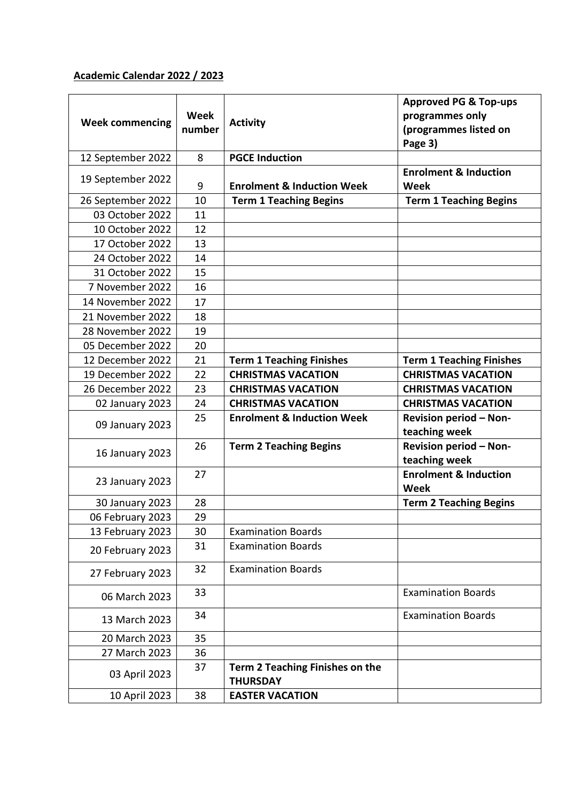## **Academic Calendar 2022 / 2023**

| <b>Week commencing</b> | Week<br>number | <b>Activity</b>                                    | <b>Approved PG &amp; Top-ups</b><br>programmes only<br>(programmes listed on<br>Page 3) |
|------------------------|----------------|----------------------------------------------------|-----------------------------------------------------------------------------------------|
| 12 September 2022      | 8              | <b>PGCE Induction</b>                              |                                                                                         |
| 19 September 2022      | 9              | <b>Enrolment &amp; Induction Week</b>              | <b>Enrolment &amp; Induction</b><br><b>Week</b>                                         |
| 26 September 2022      | 10             | <b>Term 1 Teaching Begins</b>                      | <b>Term 1 Teaching Begins</b>                                                           |
| 03 October 2022        | 11             |                                                    |                                                                                         |
| 10 October 2022        | 12             |                                                    |                                                                                         |
| 17 October 2022        | 13             |                                                    |                                                                                         |
| 24 October 2022        | 14             |                                                    |                                                                                         |
| 31 October 2022        | 15             |                                                    |                                                                                         |
| 7 November 2022        | 16             |                                                    |                                                                                         |
| 14 November 2022       | 17             |                                                    |                                                                                         |
| 21 November 2022       | 18             |                                                    |                                                                                         |
| 28 November 2022       | 19             |                                                    |                                                                                         |
| 05 December 2022       | 20             |                                                    |                                                                                         |
| 12 December 2022       | 21             | <b>Term 1 Teaching Finishes</b>                    | <b>Term 1 Teaching Finishes</b>                                                         |
| 19 December 2022       | 22             | <b>CHRISTMAS VACATION</b>                          | <b>CHRISTMAS VACATION</b>                                                               |
| 26 December 2022       | 23             | <b>CHRISTMAS VACATION</b>                          | <b>CHRISTMAS VACATION</b>                                                               |
| 02 January 2023        | 24             | <b>CHRISTMAS VACATION</b>                          | <b>CHRISTMAS VACATION</b>                                                               |
| 09 January 2023        | 25             | <b>Enrolment &amp; Induction Week</b>              | <b>Revision period - Non-</b><br>teaching week                                          |
| 16 January 2023        | 26             | <b>Term 2 Teaching Begins</b>                      | <b>Revision period - Non-</b><br>teaching week                                          |
| 23 January 2023        | 27             |                                                    | <b>Enrolment &amp; Induction</b><br><b>Week</b>                                         |
| 30 January 2023        | 28             |                                                    | <b>Term 2 Teaching Begins</b>                                                           |
| 06 February 2023       | 29             |                                                    |                                                                                         |
| 13 February 2023       | 30             | <b>Examination Boards</b>                          |                                                                                         |
| 20 February 2023       | 31             | <b>Examination Boards</b>                          |                                                                                         |
| 27 February 2023       | 32             | <b>Examination Boards</b>                          |                                                                                         |
| 06 March 2023          | 33             |                                                    | <b>Examination Boards</b>                                                               |
| 13 March 2023          | 34             |                                                    | <b>Examination Boards</b>                                                               |
| 20 March 2023          | 35             |                                                    |                                                                                         |
| 27 March 2023          | 36             |                                                    |                                                                                         |
| 03 April 2023          | 37             | Term 2 Teaching Finishes on the<br><b>THURSDAY</b> |                                                                                         |
| 10 April 2023          | 38             | <b>EASTER VACATION</b>                             |                                                                                         |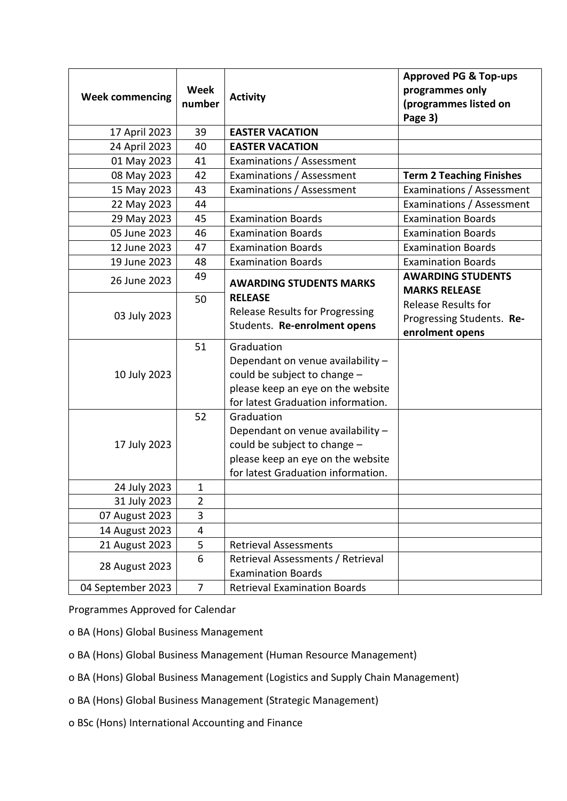| <b>Week commencing</b> | <b>Week</b><br>number | <b>Activity</b>                                                                                                                                            | <b>Approved PG &amp; Top-ups</b><br>programmes only<br>(programmes listed on<br>Page 3) |
|------------------------|-----------------------|------------------------------------------------------------------------------------------------------------------------------------------------------------|-----------------------------------------------------------------------------------------|
| 17 April 2023          | 39                    | <b>EASTER VACATION</b>                                                                                                                                     |                                                                                         |
| 24 April 2023          | 40                    | <b>EASTER VACATION</b>                                                                                                                                     |                                                                                         |
| 01 May 2023            | 41                    | Examinations / Assessment                                                                                                                                  |                                                                                         |
| 08 May 2023            | 42                    | Examinations / Assessment                                                                                                                                  | <b>Term 2 Teaching Finishes</b>                                                         |
| 15 May 2023            | 43                    | Examinations / Assessment                                                                                                                                  | Examinations / Assessment                                                               |
| 22 May 2023            | 44                    |                                                                                                                                                            | Examinations / Assessment                                                               |
| 29 May 2023            | 45                    | <b>Examination Boards</b>                                                                                                                                  | <b>Examination Boards</b>                                                               |
| 05 June 2023           | 46                    | <b>Examination Boards</b>                                                                                                                                  | <b>Examination Boards</b>                                                               |
| 12 June 2023           | 47                    | <b>Examination Boards</b>                                                                                                                                  | <b>Examination Boards</b>                                                               |
| 19 June 2023           | 48                    | <b>Examination Boards</b>                                                                                                                                  | <b>Examination Boards</b>                                                               |
| 26 June 2023           | 49                    | <b>AWARDING STUDENTS MARKS</b>                                                                                                                             | <b>AWARDING STUDENTS</b><br><b>MARKS RELEASE</b>                                        |
| 03 July 2023           | 50                    | <b>RELEASE</b><br><b>Release Results for Progressing</b><br>Students. Re-enrolment opens                                                                   | <b>Release Results for</b><br>Progressing Students. Re-<br>enrolment opens              |
| 10 July 2023           | 51                    | Graduation<br>Dependant on venue availability -<br>could be subject to change -<br>please keep an eye on the website<br>for latest Graduation information. |                                                                                         |
| 17 July 2023           | 52                    | Graduation<br>Dependant on venue availability -<br>could be subject to change -<br>please keep an eye on the website<br>for latest Graduation information. |                                                                                         |
| 24 July 2023           | $\mathbf{1}$          |                                                                                                                                                            |                                                                                         |
| 31 July 2023           | 2                     |                                                                                                                                                            |                                                                                         |
| 07 August 2023         | 3                     |                                                                                                                                                            |                                                                                         |
| 14 August 2023         | 4                     |                                                                                                                                                            |                                                                                         |
| 21 August 2023         | 5                     | <b>Retrieval Assessments</b>                                                                                                                               |                                                                                         |
| 28 August 2023         | 6                     | Retrieval Assessments / Retrieval<br><b>Examination Boards</b>                                                                                             |                                                                                         |
| 04 September 2023      | $\overline{7}$        | <b>Retrieval Examination Boards</b>                                                                                                                        |                                                                                         |

Programmes Approved for Calendar

o BA (Hons) Global Business Management

o BA (Hons) Global Business Management (Human Resource Management)

o BA (Hons) Global Business Management (Logistics and Supply Chain Management)

o BA (Hons) Global Business Management (Strategic Management)

o BSc (Hons) International Accounting and Finance